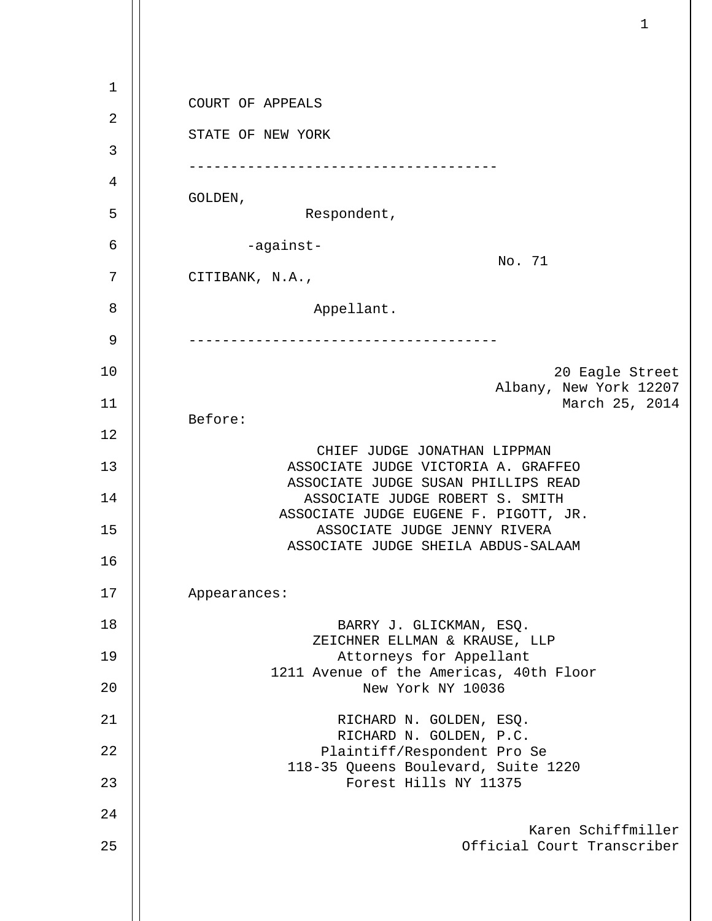1 2 3 4 5 6 7 8 9 10 11 12 13 14 15 16 17 18 19 20 21 22 23 24 25 COURT OF APPEALS STATE OF NEW YORK ------------------------------------- GOLDEN, Respondent, -against- No. 71 CITIBANK, N.A., Appellant. ------------------------------------- 20 Eagle Street Albany, New York 12207 March 25, 2014 Before: CHIEF JUDGE JONATHAN LIPPMAN ASSOCIATE JUDGE VICTORIA A. GRAFFEO ASSOCIATE JUDGE SUSAN PHILLIPS READ ASSOCIATE JUDGE ROBERT S. SMITH ASSOCIATE JUDGE EUGENE F. PIGOTT, JR. ASSOCIATE JUDGE JENNY RIVERA ASSOCIATE JUDGE SHEILA ABDUS-SALAAM Appearances: BARRY J. GLICKMAN, ESQ. ZEICHNER ELLMAN & KRAUSE, LLP Attorneys for Appellant 1211 Avenue of the Americas, 40th Floor New York NY 10036 RICHARD N. GOLDEN, ESQ. RICHARD N. GOLDEN, P.C. Plaintiff/Respondent Pro Se 118-35 Queens Boulevard, Suite 1220 Forest Hills NY 11375 Karen Schiffmiller Official Court Transcriber

 $\mathbf{1}$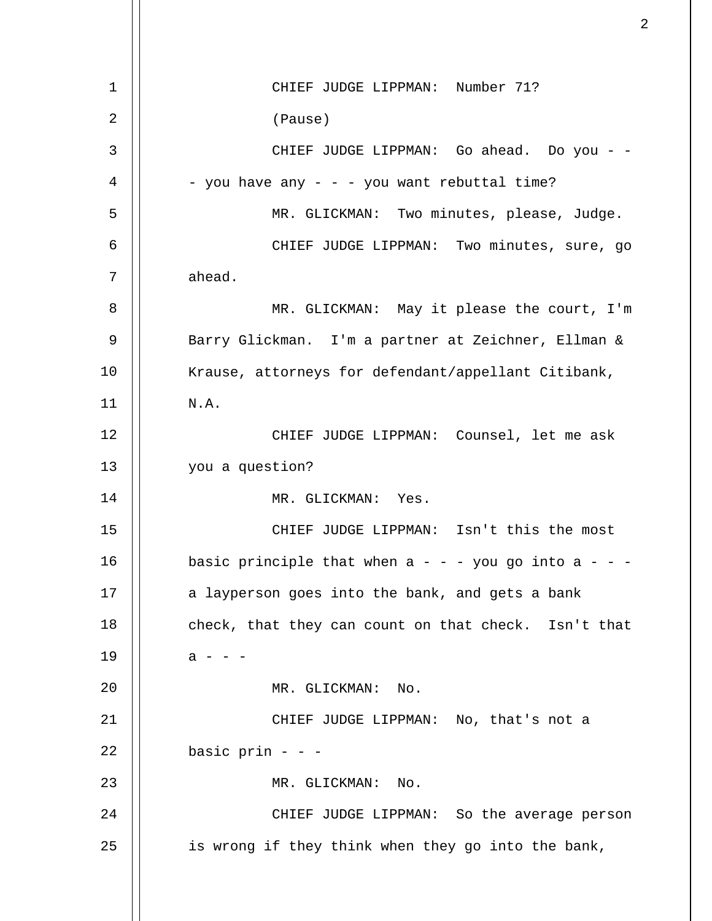1 2 3 4 5 6 7 8 9 10 11 12 13 14 15 16 17 18 19 20 21 22 23 24 25 CHIEF JUDGE LIPPMAN: Number 71? (Pause) CHIEF JUDGE LIPPMAN: Go ahead. Do you - - - you have any - - - you want rebuttal time? MR. GLICKMAN: Two minutes, please, Judge. CHIEF JUDGE LIPPMAN: Two minutes, sure, go ahead. MR. GLICKMAN: May it please the court, I'm Barry Glickman. I'm a partner at Zeichner, Ellman & Krause, attorneys for defendant/appellant Citibank, N.A. CHIEF JUDGE LIPPMAN: Counsel, let me ask you a question? MR. GLICKMAN: Yes. CHIEF JUDGE LIPPMAN: Isn't this the most basic principle that when  $a - -$  you go into  $a -$ a layperson goes into the bank, and gets a bank check, that they can count on that check. Isn't that  $a - - -$ MR. GLICKMAN: No. CHIEF JUDGE LIPPMAN: No, that's not a basic prin - - - MR. GLICKMAN: No. CHIEF JUDGE LIPPMAN: So the average person is wrong if they think when they go into the bank,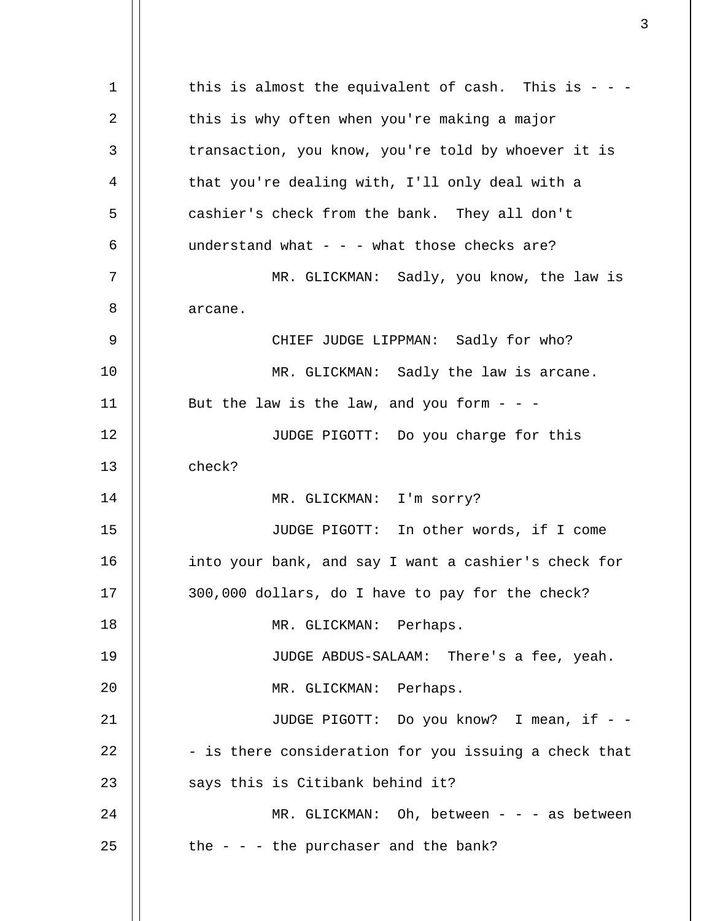1 2 3 4 5 6 7 8 9 10 11 12 13 14 15 16 17 18 19  $2.0$ 21 22 23 24 25 this is almost the equivalent of cash. This is  $-$  this is why often when you're making a major transaction, you know, you're told by whoever it is that you're dealing with, I'll only deal with a cashier's check from the bank. They all don't understand what  $- -$  - what those checks are? MR. GLICKMAN: Sadly, you know, the law is arcane. CHIEF JUDGE LIPPMAN: Sadly for who? MR. GLICKMAN: Sadly the law is arcane. But the law is the law, and you form  $-$  -JUDGE PIGOTT: Do you charge for this check? MR. GLICKMAN: I'm sorry? JUDGE PIGOTT: In other words, if I come into your bank, and say I want a cashier's check for 300,000 dollars, do I have to pay for the check? MR. GLICKMAN: Perhaps. JUDGE ABDUS-SALAAM: There's a fee, yeah. MR. GLICKMAN: Perhaps. JUDGE PIGOTT: Do you know? I mean, if - -- is there consideration for you issuing a check that says this is Citibank behind it? MR. GLICKMAN: Oh, between - - - as between the  $-$  -  $-$  the purchaser and the bank?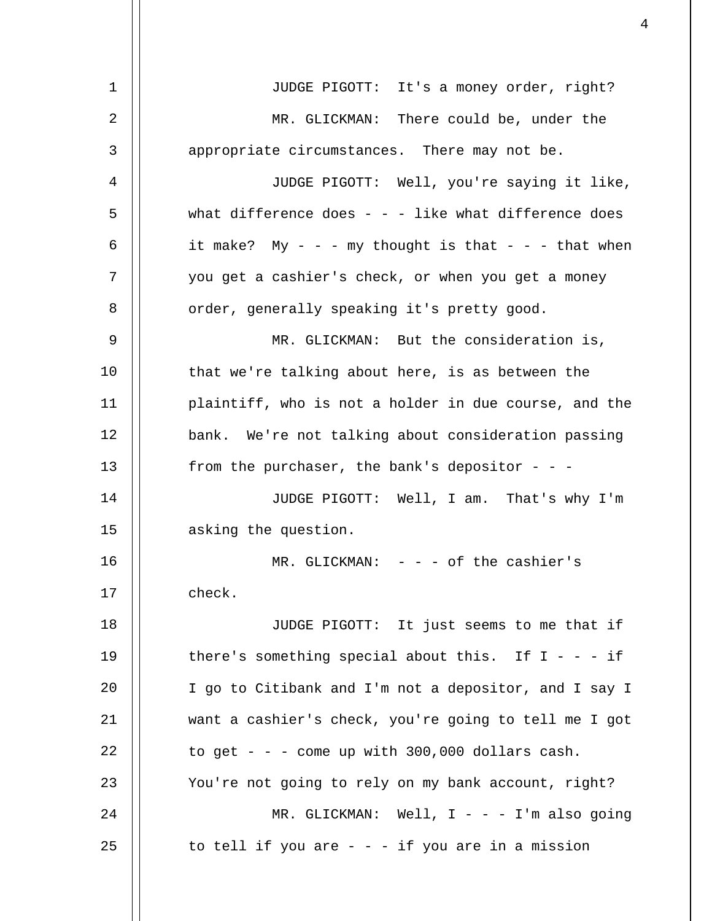| 1              | JUDGE PIGOTT: It's a money order, right?               |
|----------------|--------------------------------------------------------|
| $\overline{2}$ | MR. GLICKMAN: There could be, under the                |
| 3              | appropriate circumstances. There may not be.           |
| 4              | JUDGE PIGOTT: Well, you're saying it like,             |
| 5              | what difference does - - - like what difference does   |
| 6              | it make? My - - - my thought is that - - - that when   |
| 7              | you get a cashier's check, or when you get a money     |
| 8              | order, generally speaking it's pretty good.            |
| 9              | MR. GLICKMAN: But the consideration is,                |
| 10             | that we're talking about here, is as between the       |
| 11             | plaintiff, who is not a holder in due course, and the  |
| 12             | bank. We're not talking about consideration passing    |
| 13             | from the purchaser, the bank's depositor - - -         |
| 14             | JUDGE PIGOTT: Well, I am. That's why I'm               |
| 15             | asking the question.                                   |
| 16             | MR. GLICKMAN: $-$ - $-$ of the cashier's               |
| 17             | check.                                                 |
| 18             | JUDGE PIGOTT: It just seems to me that if              |
| 19             | there's something special about this. If $I - - - i f$ |
| 20             | I go to Citibank and I'm not a depositor, and I say I  |
| 21             | want a cashier's check, you're going to tell me I got  |
| 22             | to get - - - come up with $300,000$ dollars cash.      |
| 23             | You're not going to rely on my bank account, right?    |
| 24             | MR. GLICKMAN: Well, $I - - - I'm$ also going           |
| 25             | to tell if you are $-$ - $-$ if you are in a mission   |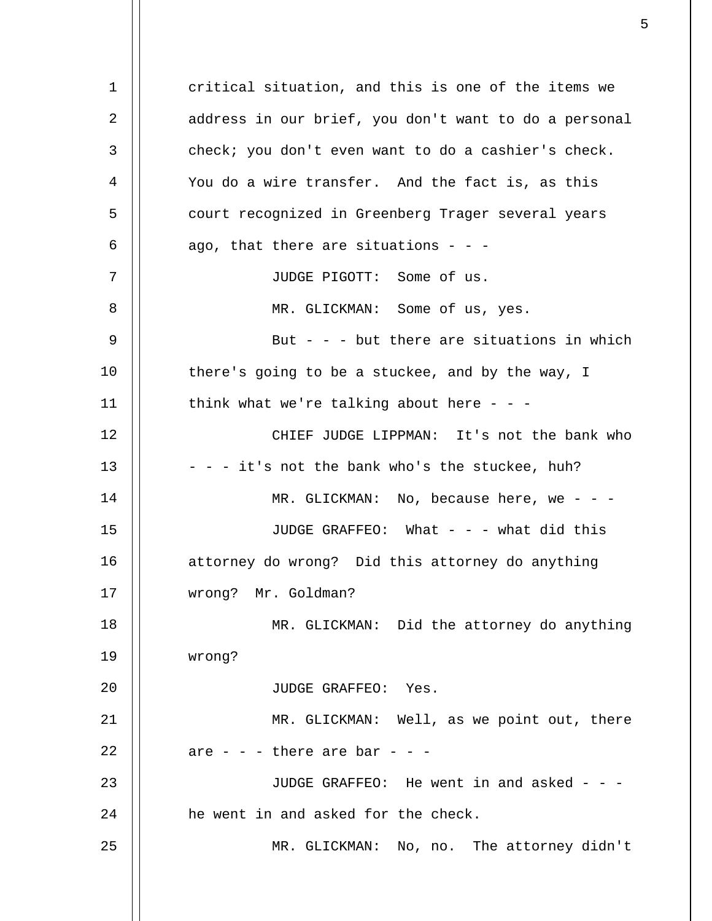1 2 3 4 5 6 7 8 9 10 11 12 13 14 15 16 17 18 19  $2.0$ 21 22 23 24 25 critical situation, and this is one of the items we address in our brief, you don't want to do a personal check; you don't even want to do a cashier's check. You do a wire transfer. And the fact is, as this court recognized in Greenberg Trager several years ago, that there are situations  $- -$ JUDGE PIGOTT: Some of us. MR. GLICKMAN: Some of us, yes. But - - - but there are situations in which there's going to be a stuckee, and by the way, I think what we're talking about here  $- -$ CHIEF JUDGE LIPPMAN: It's not the bank who - - - it's not the bank who's the stuckee, huh?  $MR. GLICKMAN: No, because here, we - -$ JUDGE GRAFFEO: What - - - what did this attorney do wrong? Did this attorney do anything wrong? Mr. Goldman? MR. GLICKMAN: Did the attorney do anything wrong? JUDGE GRAFFEO: Yes. MR. GLICKMAN: Well, as we point out, there are  $-$  -  $-$  there are bar -  $-$ JUDGE GRAFFEO: He went in and asked  $-$  -  $$ he went in and asked for the check. MR. GLICKMAN: No, no. The attorney didn't

 $\sim$  5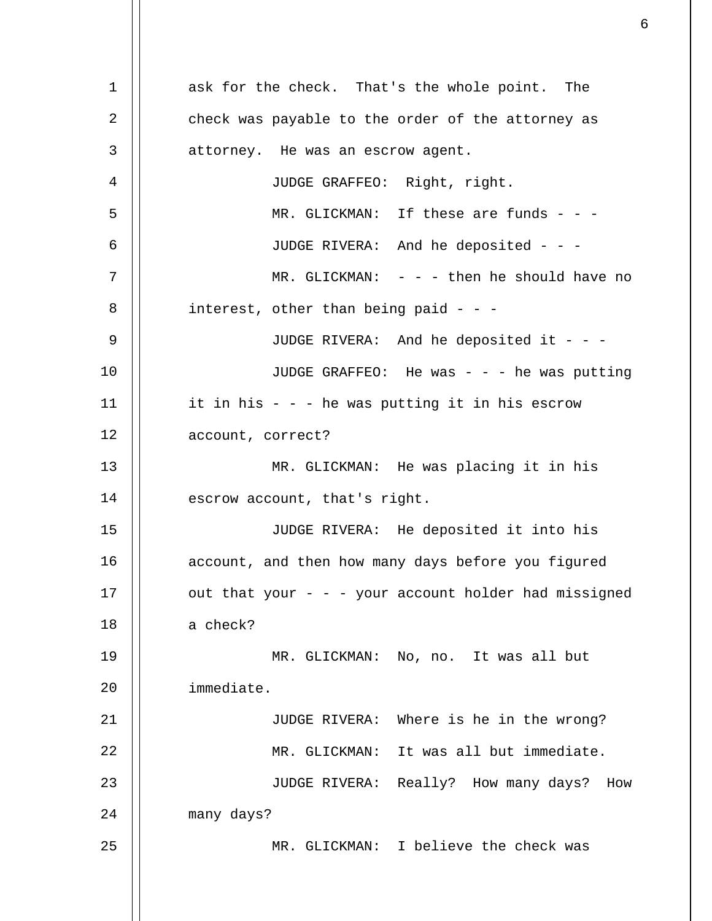1 2 3 4 5 6 7 8 9 10 11 12 13 14 15 16 17 18 19 20 21 22 23 24 25 ask for the check. That's the whole point. The check was payable to the order of the attorney as attorney. He was an escrow agent. JUDGE GRAFFEO: Right, right. MR. GLICKMAN: If these are funds - - -JUDGE RIVERA: And he deposited - - - MR. GLICKMAN:  $- -$  - then he should have no interest, other than being paid - - - JUDGE RIVERA: And he deposited it - - -JUDGE GRAFFEO: He was - - - he was putting it in his - - - he was putting it in his escrow account, correct? MR. GLICKMAN: He was placing it in his escrow account, that's right. JUDGE RIVERA: He deposited it into his account, and then how many days before you figured out that your  $-$  -  $-$  your account holder had missigned a check? MR. GLICKMAN: No, no. It was all but immediate. JUDGE RIVERA: Where is he in the wrong? MR. GLICKMAN: It was all but immediate. JUDGE RIVERA: Really? How many days? How many days? MR. GLICKMAN: I believe the check was

 $\sim$  6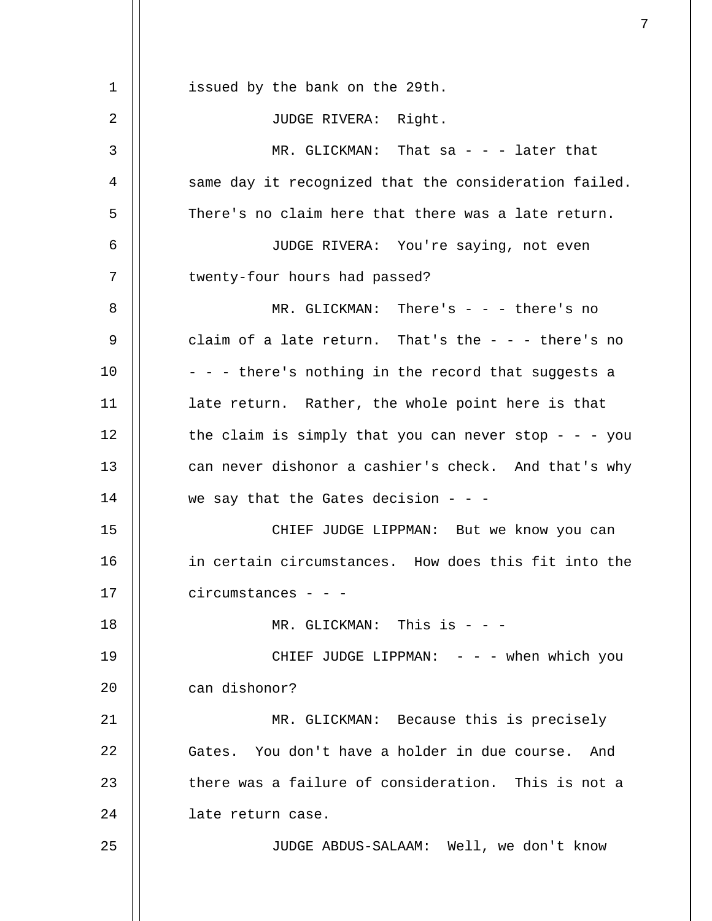| 1  | issued by the bank on the 29th.                       |
|----|-------------------------------------------------------|
| 2  | JUDGE RIVERA: Right.                                  |
| 3  | MR. GLICKMAN: That sa - - - later that                |
| 4  | same day it recognized that the consideration failed. |
| 5  | There's no claim here that there was a late return.   |
| 6  | JUDGE RIVERA: You're saying, not even                 |
| 7  | twenty-four hours had passed?                         |
| 8  | MR. GLICKMAN: There's - - - there's no                |
| 9  | claim of a late return. That's the $-$ - - there's no |
| 10 | - - - there's nothing in the record that suggests a   |
| 11 | late return. Rather, the whole point here is that     |
| 12 | the claim is simply that you can never stop - - - you |
| 13 | can never dishonor a cashier's check. And that's why  |
| 14 | we say that the Gates decision - - -                  |
| 15 | CHIEF JUDGE LIPPMAN: But we know you can              |
| 16 | in certain circumstances. How does this fit into the  |
| 17 | circumstances - -                                     |
| 18 | MR. GLICKMAN: This is - - -                           |
| 19 | CHIEF JUDGE LIPPMAN: $-  -$ when which you            |
| 20 | can dishonor?                                         |
| 21 | MR. GLICKMAN: Because this is precisely               |
| 22 | Gates. You don't have a holder in due course. And     |
| 23 | there was a failure of consideration. This is not a   |
| 24 | late return case.                                     |
| 25 | JUDGE ABDUS-SALAAM: Well, we don't know               |
|    |                                                       |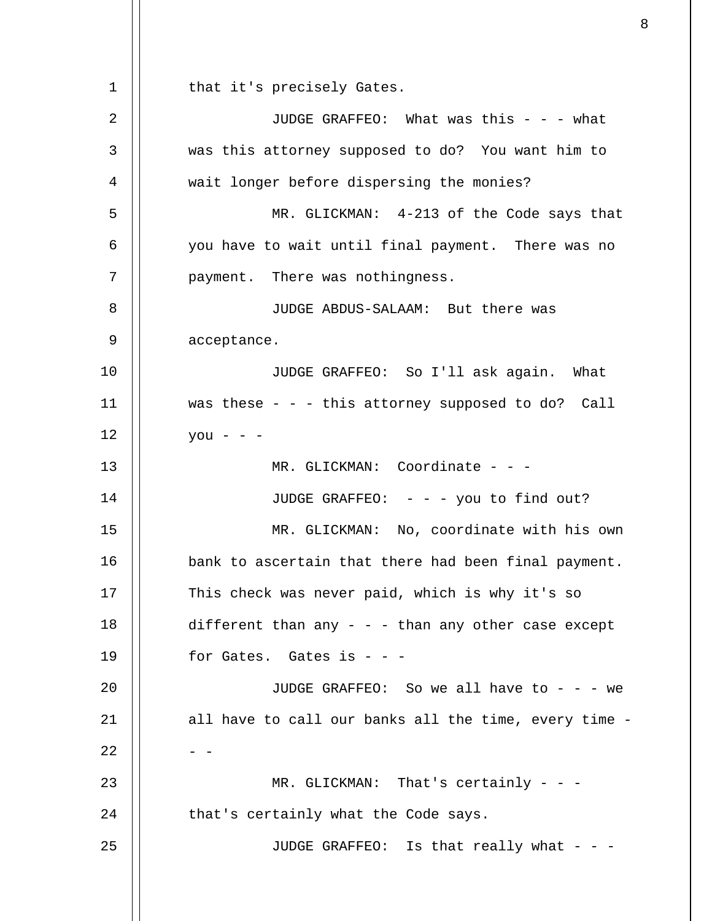1 2 3 4 5 6 7 8 9 10 11 12 13 14 15 16 17 18 19 20 21 22 23 24 25 that it's precisely Gates. JUDGE GRAFFEO: What was this - - - what was this attorney supposed to do? You want him to wait longer before dispersing the monies? MR. GLICKMAN: 4-213 of the Code says that you have to wait until final payment. There was no payment. There was nothingness. JUDGE ABDUS-SALAAM: But there was acceptance. JUDGE GRAFFEO: So I'll ask again. What was these - - - this attorney supposed to do? Call  $you - -$ MR. GLICKMAN: Coordinate - - -JUDGE GRAFFEO: - - - you to find out? MR. GLICKMAN: No, coordinate with his own bank to ascertain that there had been final payment. This check was never paid, which is why it's so different than any  $-$  -  $-$  than any other case except for Gates. Gates is - - - JUDGE GRAFFEO: So we all have to  $- -$  - we all have to call our banks all the time, every time -  $-$ MR. GLICKMAN: That's certainly - - that's certainly what the Code says. JUDGE GRAFFEO: Is that really what - - -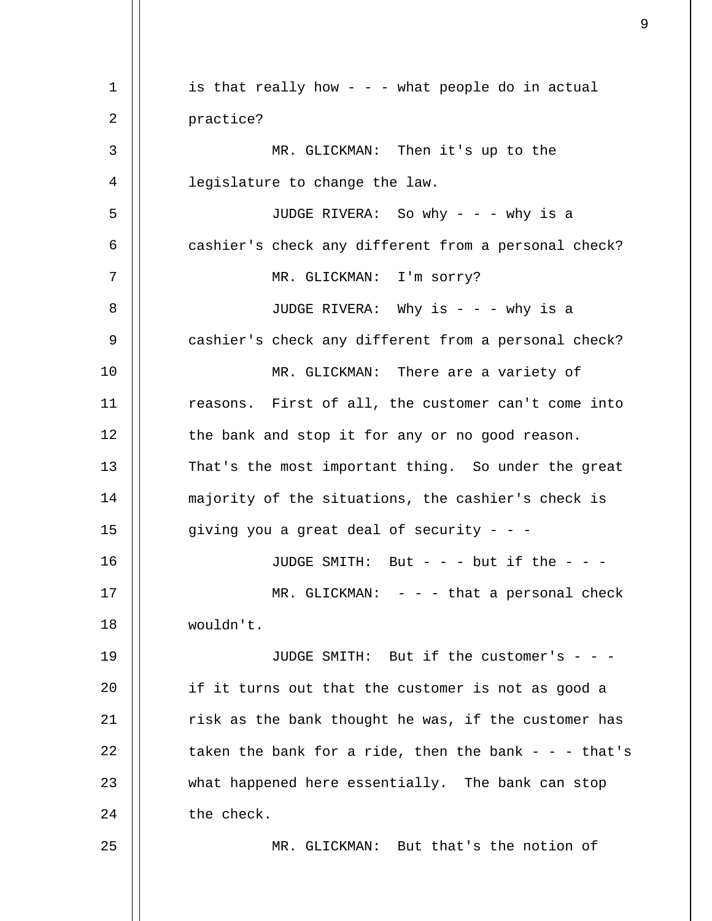1 2 3 4 5 6 7 8 9 10 11 12 13 14 15 16 17 18 19  $20^{\circ}$ 21 22 23 24 25 is that really how - - - what people do in actual practice? MR. GLICKMAN: Then it's up to the legislature to change the law. JUDGE RIVERA: So why - - - why is a cashier's check any different from a personal check? MR. GLICKMAN: I'm sorry? JUDGE RIVERA: Why is  $- -$  - why is a cashier's check any different from a personal check? MR. GLICKMAN: There are a variety of reasons. First of all, the customer can't come into the bank and stop it for any or no good reason. That's the most important thing. So under the great majority of the situations, the cashier's check is giving you a great deal of security  $- -$ JUDGE SMITH: But - - - but if the - - -  $MR. GLICKMAN: - - - that a personal check$ wouldn't. JUDGE SMITH: But if the customer's - - if it turns out that the customer is not as good a risk as the bank thought he was, if the customer has taken the bank for a ride, then the bank  $-$  -  $-$  that's what happened here essentially. The bank can stop the check. MR. GLICKMAN: But that's the notion of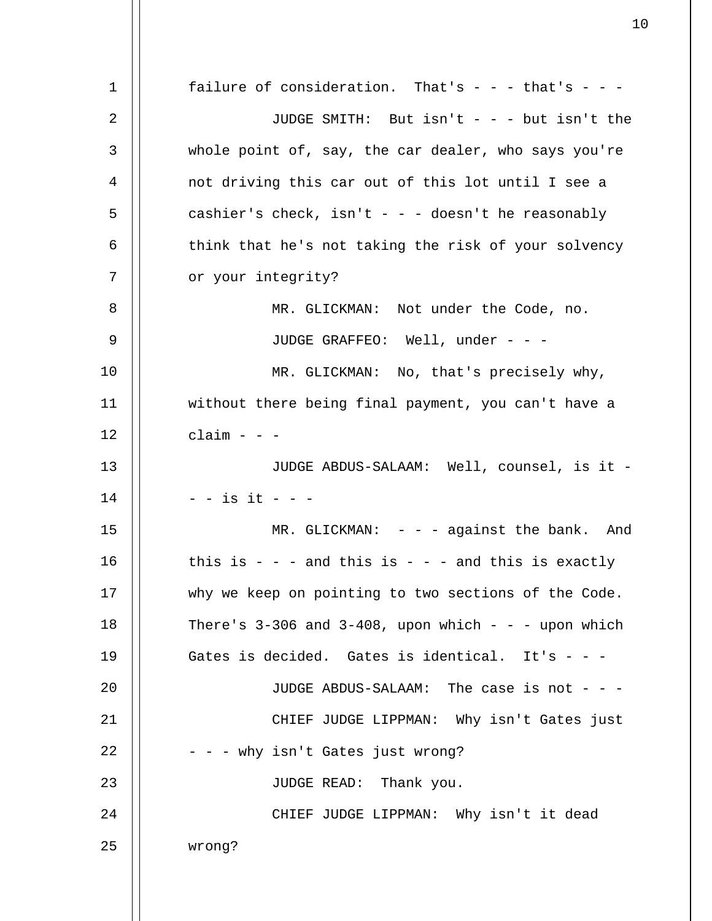1 2 3 4 5 6 7 8 9 10 11 12 13 14 15 16 17 18 19  $2.0$ 21 22 23 24 25 failure of consideration. That's  $- -$  - that's  $- -$ JUDGE SMITH: But isn't - - - but isn't the whole point of, say, the car dealer, who says you're not driving this car out of this lot until I see a cashier's check, isn't - - - doesn't he reasonably think that he's not taking the risk of your solvency or your integrity? MR. GLICKMAN: Not under the Code, no. JUDGE GRAFFEO: Well, under - - -MR. GLICKMAN: No, that's precisely why, without there being final payment, you can't have a  $claim - -$ JUDGE ABDUS-SALAAM: Well, counsel, is it - - - is it - - - MR. GLICKMAN: - - - against the bank. And this is  $-$  -  $-$  and this is  $-$  -  $-$  and this is exactly why we keep on pointing to two sections of the Code. There's  $3-306$  and  $3-408$ , upon which - - - upon which Gates is decided. Gates is identical. It's  $-$  -JUDGE ABDUS-SALAAM: The case is not - - - CHIEF JUDGE LIPPMAN: Why isn't Gates just - - - why isn't Gates just wrong? JUDGE READ: Thank you. CHIEF JUDGE LIPPMAN: Why isn't it dead wrong?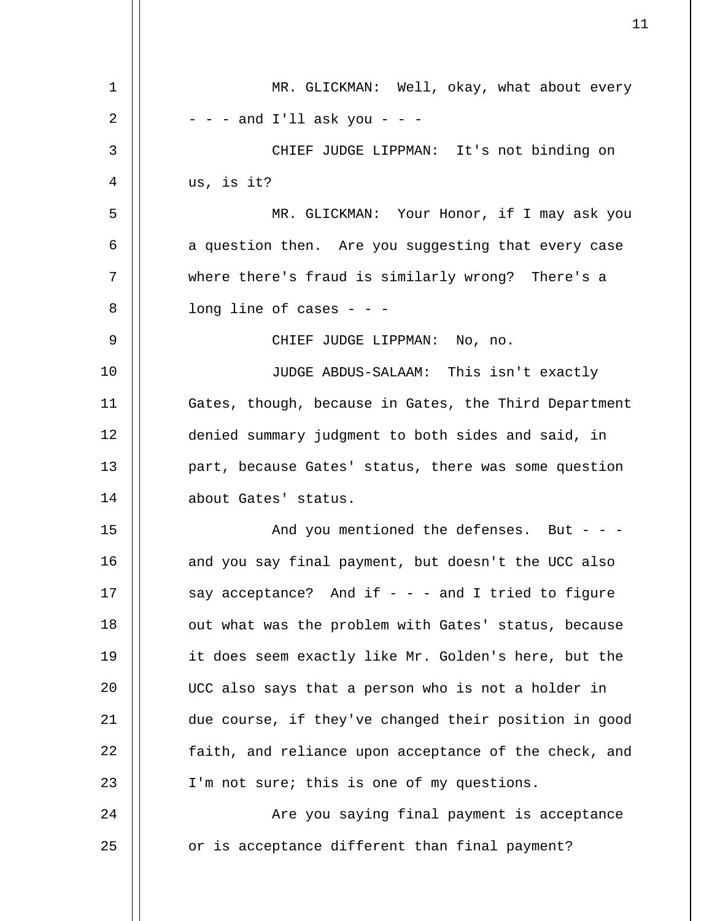| 1  | MR. GLICKMAN: Well, okay, what about every            |
|----|-------------------------------------------------------|
| 2  | $-$ - $-$ and I'll ask you - $-$                      |
| 3  | CHIEF JUDGE LIPPMAN: It's not binding on              |
| 4  | us, is it?                                            |
| 5  | MR. GLICKMAN: Your Honor, if I may ask you            |
| 6  | a question then. Are you suggesting that every case   |
| 7  | where there's fraud is similarly wrong? There's a     |
| 8  | long line of cases $-$ - $-$                          |
| 9  | CHIEF JUDGE LIPPMAN: No, no.                          |
| 10 | JUDGE ABDUS-SALAAM: This isn't exactly                |
| 11 | Gates, though, because in Gates, the Third Department |
| 12 | denied summary judgment to both sides and said, in    |
| 13 | part, because Gates' status, there was some question  |
| 14 | about Gates' status.                                  |
| 15 | And you mentioned the defenses. But - - -             |
| 16 | and you say final payment, but doesn't the UCC also   |
| 17 | say acceptance? And if $-$ - - and I tried to figure  |
| 18 | out what was the problem with Gates' status, because  |
| 19 | it does seem exactly like Mr. Golden's here, but the  |
| 20 | UCC also says that a person who is not a holder in    |
| 21 | due course, if they've changed their position in good |
| 22 | faith, and reliance upon acceptance of the check, and |
| 23 | I'm not sure; this is one of my questions.            |
| 24 | Are you saying final payment is acceptance            |
| 25 | or is acceptance different than final payment?        |
|    |                                                       |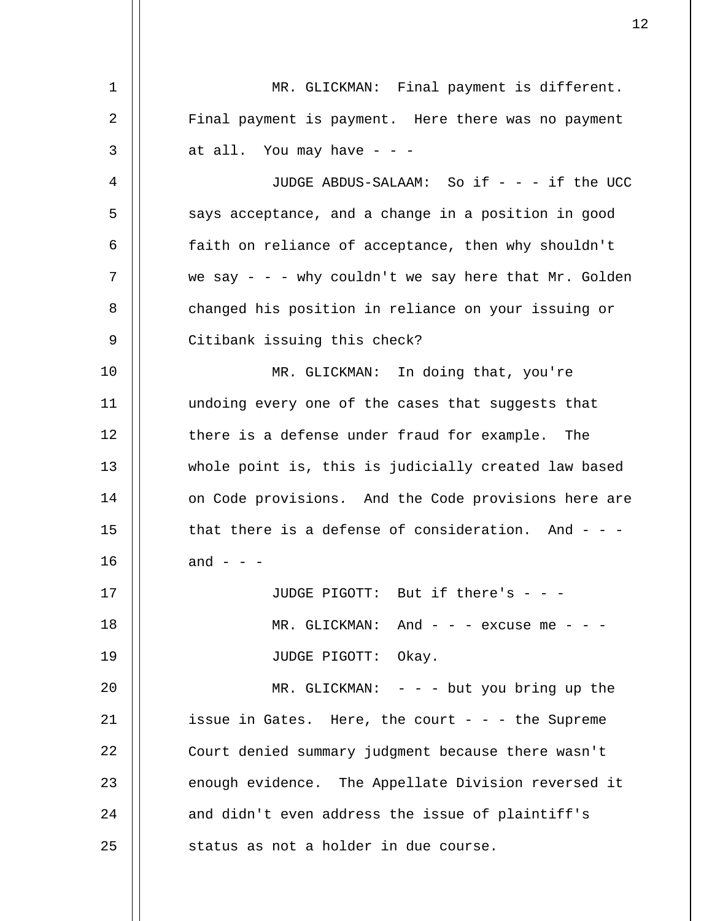| 1  | MR. GLICKMAN: Final payment is different.               |
|----|---------------------------------------------------------|
| 2  | Final payment is payment. Here there was no payment     |
| 3  | at all. You may have - - -                              |
| 4  | JUDGE ABDUS-SALAAM: So if - - - if the UCC              |
| 5  | says acceptance, and a change in a position in good     |
| 6  | faith on reliance of acceptance, then why shouldn't     |
| 7  | we say - - - why couldn't we say here that $Mr.$ Golden |
| 8  | changed his position in reliance on your issuing or     |
| 9  | Citibank issuing this check?                            |
| 10 | MR. GLICKMAN: In doing that, you're                     |
| 11 | undoing every one of the cases that suggests that       |
| 12 | there is a defense under fraud for example. The         |
| 13 | whole point is, this is judicially created law based    |
| 14 | on Code provisions. And the Code provisions here are    |
| 15 | that there is a defense of consideration. And $-$ - $-$ |
| 16 | and - - -                                               |
| 17 | JUDGE PIGOTT: But if there's - - -                      |
| 18 | MR. GLICKMAN: And - - - excuse me - - -                 |
| 19 | JUDGE PIGOTT: Okay.                                     |
| 20 | MR. GLICKMAN: $-$ - $-$ but you bring up the            |
| 21 | issue in Gates. Here, the court - - - the Supreme       |
| 22 | Court denied summary judgment because there wasn't      |
| 23 | enough evidence. The Appellate Division reversed it     |
| 24 | and didn't even address the issue of plaintiff's        |
| 25 | status as not a holder in due course.                   |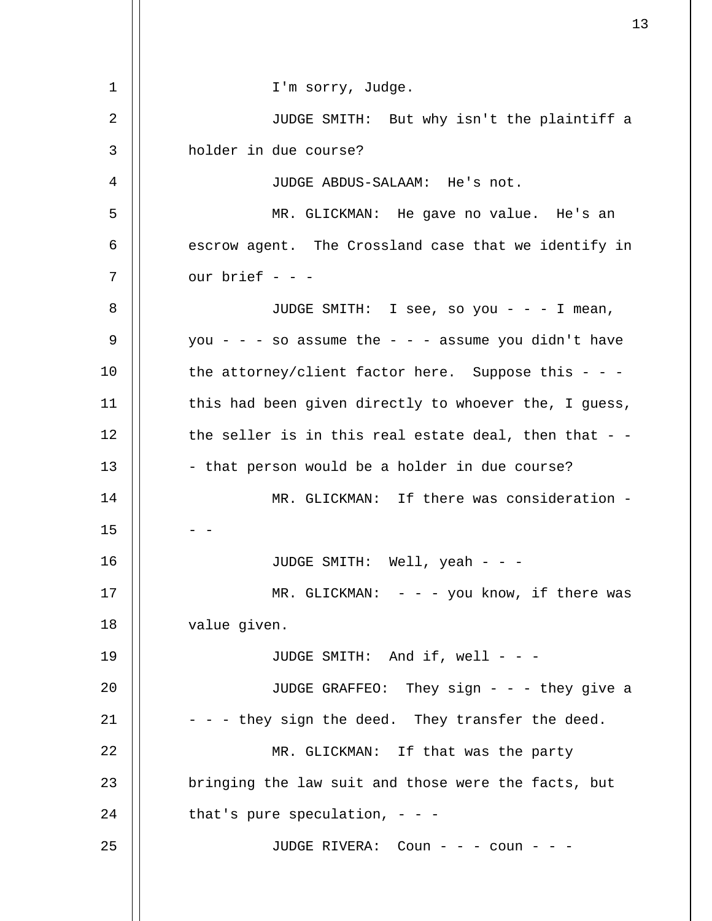| $\mathbf 1$    | I'm sorry, Judge.                                       |
|----------------|---------------------------------------------------------|
| $\overline{2}$ | JUDGE SMITH: But why isn't the plaintiff a              |
| 3              | holder in due course?                                   |
| 4              | JUDGE ABDUS-SALAAM: He's not.                           |
| 5              | MR. GLICKMAN: He gave no value. He's an                 |
| 6              | escrow agent. The Crossland case that we identify in    |
| 7              | our brief - - -                                         |
| 8              | JUDGE SMITH: I see, so you - - - I mean,                |
| 9              | you - - - so assume the - - - assume you didn't have    |
| 10             | the attorney/client factor here. Suppose this $-$ -     |
| 11             | this had been given directly to whoever the, I guess,   |
| 12             | the seller is in this real estate deal, then that $-$ - |
| 13             | - that person would be a holder in due course?          |
| 14             | MR. GLICKMAN: If there was consideration -              |
| 15             |                                                         |
| 16             | JUDGE SMITH: Well, yeah - - -                           |
| 17             | MR. GLICKMAN: $-$ - $-$ you know, if there was          |
| 18             | value given.                                            |
| 19             | JUDGE SMITH: And if, well - - -                         |
| 20             | JUDGE GRAFFEO: They sign - - - they give a              |
| 21             | - - - they sign the deed. They transfer the deed.       |
| 22             | MR. GLICKMAN: If that was the party                     |
| 23             | bringing the law suit and those were the facts, but     |
| 24             | that's pure speculation, $-$ -                          |
| 25             | JUDGE RIVERA: Coun - - - coun - - -                     |
|                |                                                         |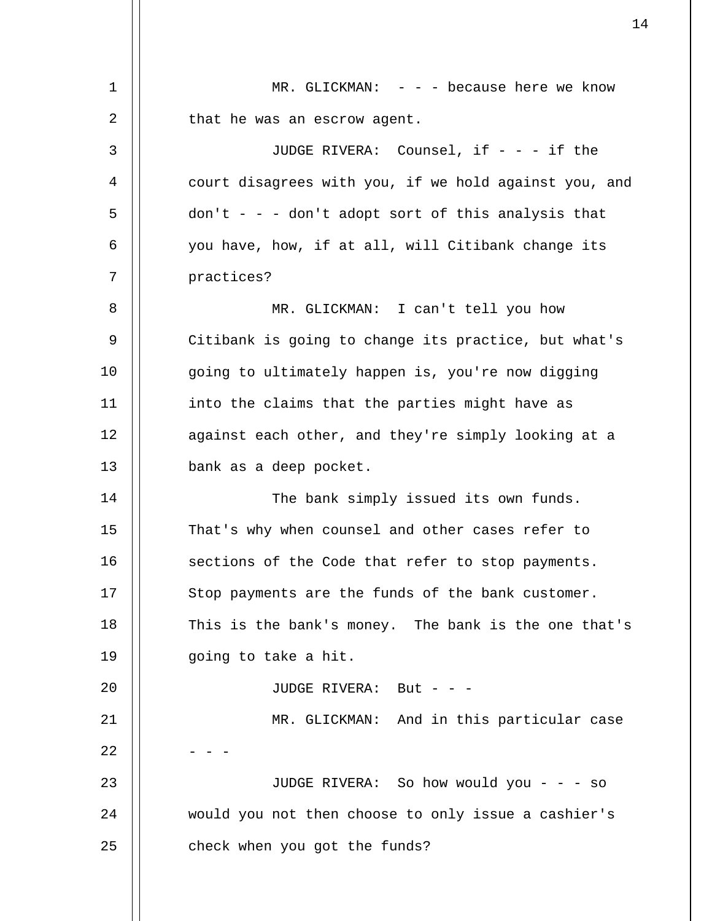| 1  | MR. GLICKMAN: $-$ - $-$ because here we know          |
|----|-------------------------------------------------------|
| 2  | that he was an escrow agent.                          |
| 3  | JUDGE RIVERA: Counsel, if - - - if the                |
| 4  | court disagrees with you, if we hold against you, and |
| 5  | $don't - - don't adopt sort of this analysis that$    |
| 6  | you have, how, if at all, will Citibank change its    |
| 7  | practices?                                            |
| 8  | MR. GLICKMAN: I can't tell you how                    |
| 9  | Citibank is going to change its practice, but what's  |
| 10 | going to ultimately happen is, you're now digging     |
| 11 | into the claims that the parties might have as        |
| 12 | against each other, and they're simply looking at a   |
| 13 | bank as a deep pocket.                                |
| 14 | The bank simply issued its own funds.                 |
| 15 | That's why when counsel and other cases refer to      |
| 16 | sections of the Code that refer to stop payments.     |
| 17 | Stop payments are the funds of the bank customer.     |
| 18 | This is the bank's money. The bank is the one that's  |
| 19 | going to take a hit.                                  |
| 20 | JUDGE RIVERA: But - - -                               |
| 21 | MR. GLICKMAN: And in this particular case             |
| 22 |                                                       |
| 23 | JUDGE RIVERA: So how would you - - - so               |
| 24 | would you not then choose to only issue a cashier's   |
| 25 | check when you got the funds?                         |
|    |                                                       |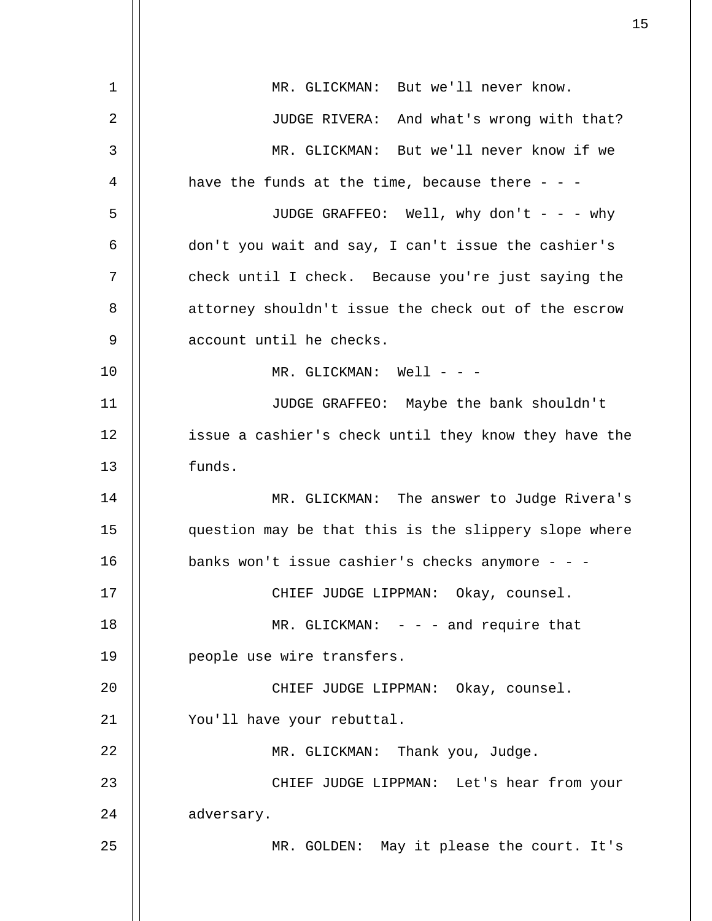| 1              | MR. GLICKMAN: But we'll never know.                   |
|----------------|-------------------------------------------------------|
| 2              | JUDGE RIVERA: And what's wrong with that?             |
| $\mathfrak{Z}$ | MR. GLICKMAN: But we'll never know if we              |
| 4              | have the funds at the time, because there - - -       |
| 5              | JUDGE GRAFFEO: Well, why don't - - - why              |
| 6              | don't you wait and say, I can't issue the cashier's   |
| 7              | check until I check. Because you're just saying the   |
| 8              | attorney shouldn't issue the check out of the escrow  |
| 9              | account until he checks.                              |
| 10             | MR. GLICKMAN: Well - - -                              |
| 11             | JUDGE GRAFFEO: Maybe the bank shouldn't               |
| 12             | issue a cashier's check until they know they have the |
| 13             | funds.                                                |
| 14             | MR. GLICKMAN: The answer to Judge Rivera's            |
| 15             | question may be that this is the slippery slope where |
| 16             | banks won't issue cashier's checks anymore - - -      |
| 17             | CHIEF JUDGE LIPPMAN: Okay, counsel.                   |
| 18             | MR. GLICKMAN: $-$ - $-$ and require that              |
| 19             | people use wire transfers.                            |
| 20             | CHIEF JUDGE LIPPMAN: Okay, counsel.                   |
| 21             | You'll have your rebuttal.                            |
| 22             | MR. GLICKMAN: Thank you, Judge.                       |
| 23             | CHIEF JUDGE LIPPMAN: Let's hear from your             |
| 24             | adversary.                                            |
| 25             | MR. GOLDEN: May it please the court. It's             |
|                |                                                       |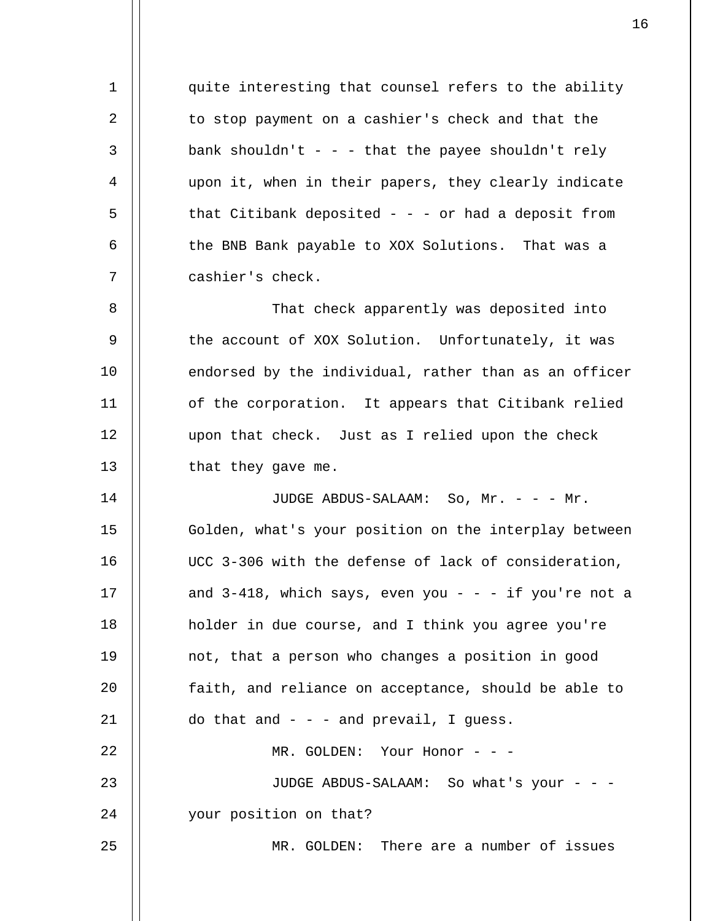quite interesting that counsel refers to the ability to stop payment on a cashier's check and that the bank shouldn't - - - that the payee shouldn't rely upon it, when in their papers, they clearly indicate that Citibank deposited  $-$  -  $-$  or had a deposit from the BNB Bank payable to XOX Solutions. That was a cashier's check.

1

2

3

4

5

6

7

8 9 10 11 12 13 That check apparently was deposited into the account of XOX Solution. Unfortunately, it was endorsed by the individual, rather than as an officer of the corporation. It appears that Citibank relied upon that check. Just as I relied upon the check that they gave me.

14 15 16 17 18 19  $2.0$ 21 22 23 24 25 JUDGE ABDUS-SALAAM: So, Mr. - - - Mr. Golden, what's your position on the interplay between UCC 3-306 with the defense of lack of consideration, and  $3-418$ , which says, even you - - - if you're not a holder in due course, and I think you agree you're not, that a person who changes a position in good faith, and reliance on acceptance, should be able to do that and  $-$  -  $-$  and prevail, I guess. MR. GOLDEN: Your Honor - - -JUDGE ABDUS-SALAAM: So what's your - - your position on that? MR. GOLDEN: There are a number of issues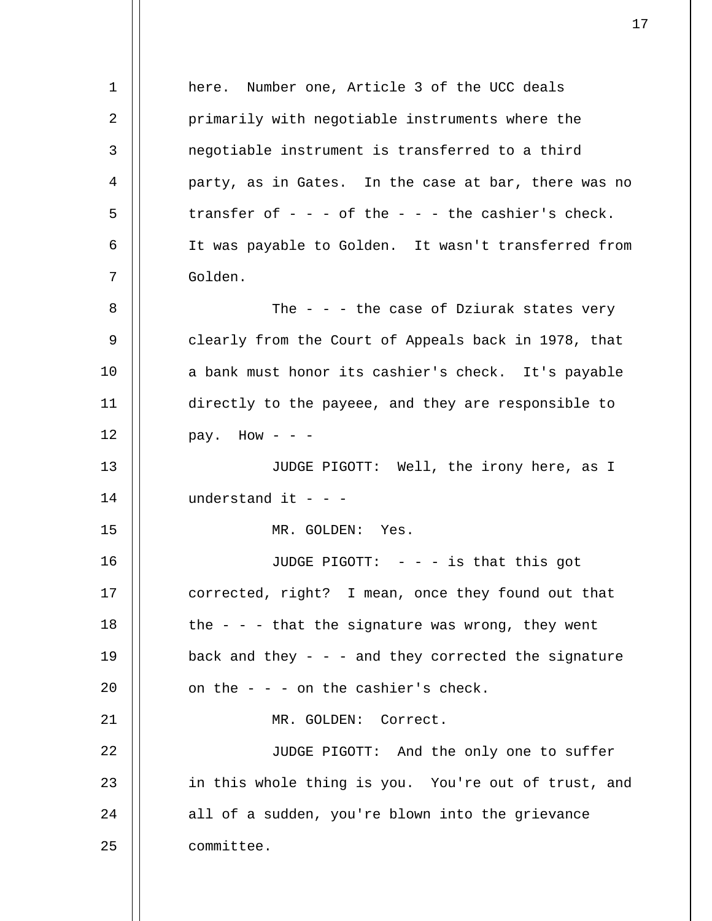1 2 3 4 5 6 7 8 9 10 11 12 13 14 15 16 17 18 19 20 21 22 23 24 25 here. Number one, Article 3 of the UCC deals primarily with negotiable instruments where the negotiable instrument is transferred to a third party, as in Gates. In the case at bar, there was no transfer of  $- - -$  of the  $- - -$  the cashier's check. It was payable to Golden. It wasn't transferred from Golden. The  $-$  -  $-$  the case of Dziurak states very clearly from the Court of Appeals back in 1978, that a bank must honor its cashier's check. It's payable directly to the payeee, and they are responsible to pay. How  $-$ JUDGE PIGOTT: Well, the irony here, as I understand it - - -MR. GOLDEN: Yes. JUDGE PIGOTT: - - - is that this got corrected, right? I mean, once they found out that the  $-$  -  $-$  that the signature was wrong, they went back and they  $-$  - and they corrected the signature on the  $-$  -  $-$  on the cashier's check. MR. GOLDEN: Correct. JUDGE PIGOTT: And the only one to suffer in this whole thing is you. You're out of trust, and all of a sudden, you're blown into the grievance committee.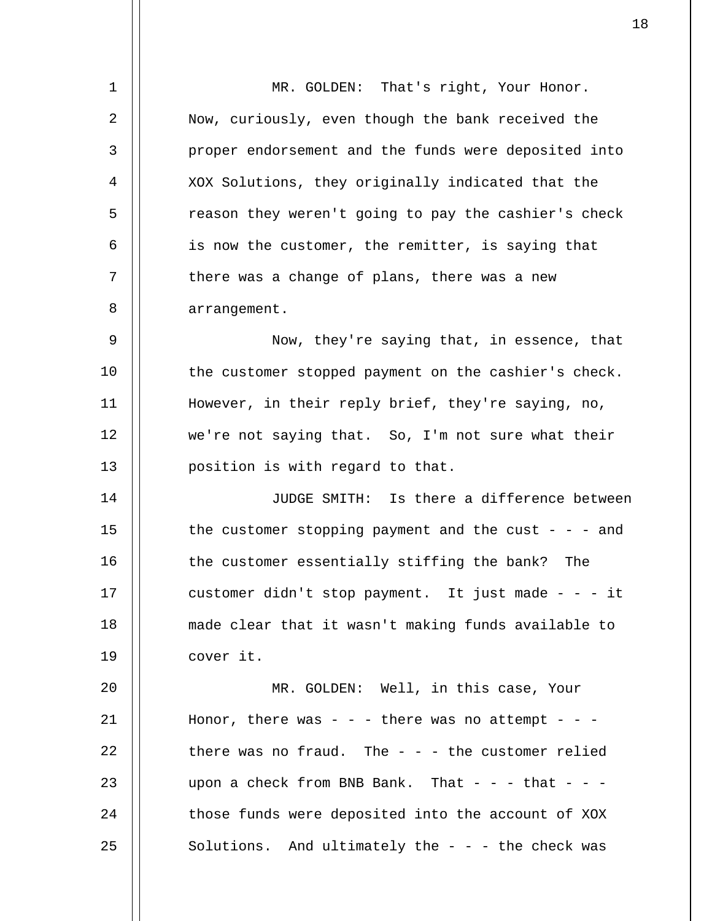| $\mathbf 1$ | MR. GOLDEN: That's right, Your Honor.                 |
|-------------|-------------------------------------------------------|
| 2           | Now, curiously, even though the bank received the     |
| 3           | proper endorsement and the funds were deposited into  |
| 4           | XOX Solutions, they originally indicated that the     |
| 5           | reason they weren't going to pay the cashier's check  |
| 6           | is now the customer, the remitter, is saying that     |
| 7           | there was a change of plans, there was a new          |
| 8           | arrangement.                                          |
| 9           | Now, they're saying that, in essence, that            |
| 10          | the customer stopped payment on the cashier's check.  |
| 11          | However, in their reply brief, they're saying, no,    |
| 12          | we're not saying that. So, I'm not sure what their    |
| 13          | position is with regard to that.                      |
| 14          | JUDGE SMITH: Is there a difference between            |
| 15          | the customer stopping payment and the cust - - - and  |
| 16          | the customer essentially stiffing the bank?<br>The    |
| 17          | customer didn't stop payment. It just made - - - it   |
| 18          | made clear that it wasn't making funds available to   |
| 19          | cover it.                                             |
| 20          | MR. GOLDEN: Well, in this case, Your                  |
| 21          | Honor, there was - - - there was no attempt - - -     |
| 22          | there was no fraud. The $-$ - $-$ the customer relied |
| 23          | upon a check from BNB Bank. That - - - that - - -     |
| 24          | those funds were deposited into the account of XOX    |
| 25          | Solutions. And ultimately the $-$ - $-$ the check was |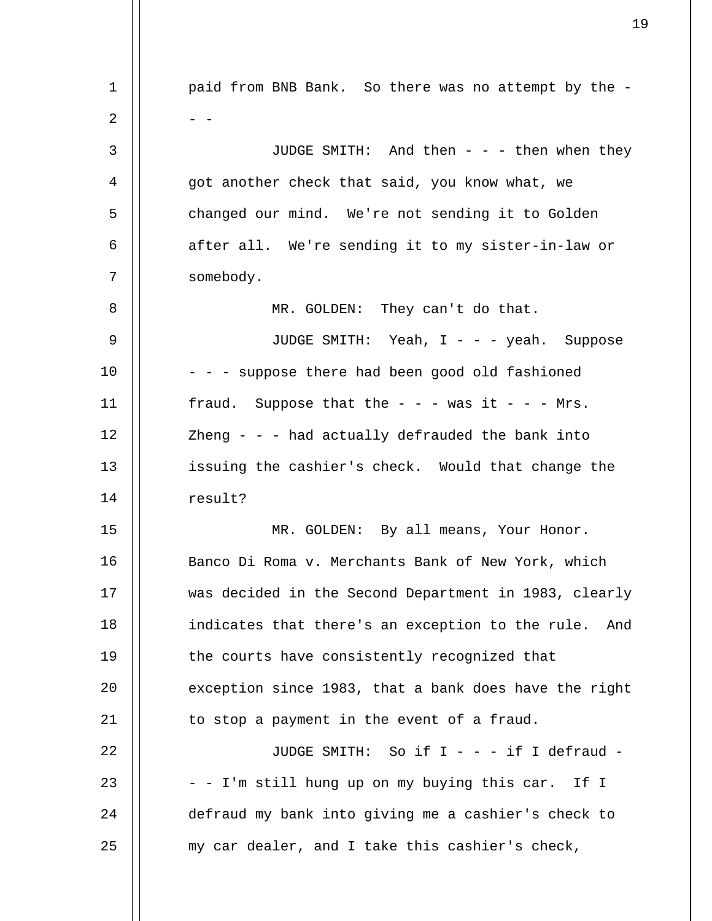1 2 3 4 5 6 7 8 9 10 11 12 13 14 15 16 17 18 19  $20^{\circ}$ 21 22 23 24 25 paid from BNB Bank. So there was no attempt by the -  $-$ JUDGE SMITH: And then - - - then when they got another check that said, you know what, we changed our mind. We're not sending it to Golden after all. We're sending it to my sister-in-law or somebody. MR. GOLDEN: They can't do that. JUDGE SMITH: Yeah, I - - - yeah. Suppose - - - suppose there had been good old fashioned fraud. Suppose that the  $- -$  - was it  $- -$  Mrs. Zheng  $-$  -  $-$  had actually defrauded the bank into issuing the cashier's check. Would that change the result? MR. GOLDEN: By all means, Your Honor. Banco Di Roma v. Merchants Bank of New York, which was decided in the Second Department in 1983, clearly indicates that there's an exception to the rule. And the courts have consistently recognized that exception since 1983, that a bank does have the right to stop a payment in the event of a fraud. JUDGE SMITH: So if I - - - if I defraud - - - I'm still hung up on my buying this car. If I defraud my bank into giving me a cashier's check to my car dealer, and I take this cashier's check,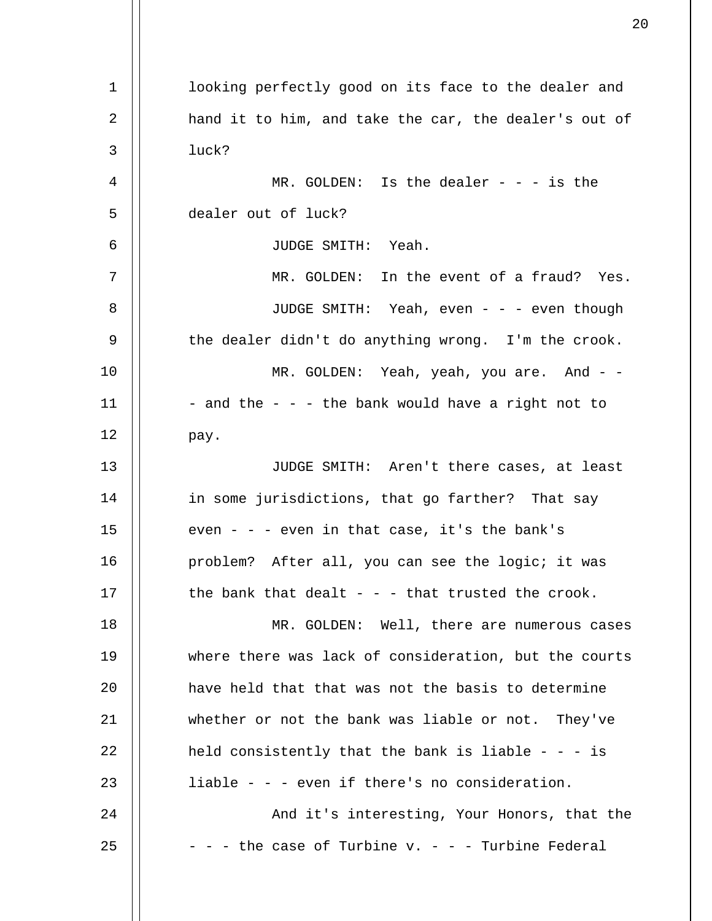1 2 3 4 5 6 7 8 9 10 11 12 13 14 15 16 17 18 19 20 21 22 23  $2.4$ 25 looking perfectly good on its face to the dealer and hand it to him, and take the car, the dealer's out of luck? MR. GOLDEN: Is the dealer  $- - i s$  the dealer out of luck? JUDGE SMITH: Yeah. MR. GOLDEN: In the event of a fraud? Yes. JUDGE SMITH: Yeah, even - - - even though the dealer didn't do anything wrong. I'm the crook. MR. GOLDEN: Yeah, yeah, you are. And - -- and the - - - the bank would have a right not to pay. JUDGE SMITH: Aren't there cases, at least in some jurisdictions, that go farther? That say even - - - even in that case, it's the bank's problem? After all, you can see the logic; it was the bank that dealt  $-$  -  $-$  that trusted the crook. MR. GOLDEN: Well, there are numerous cases where there was lack of consideration, but the courts have held that that was not the basis to determine whether or not the bank was liable or not. They've held consistently that the bank is liable  $-$  - - is liable - - - even if there's no consideration. And it's interesting, Your Honors, that the  $-$  -  $-$  the case of Turbine v. - - - Turbine Federal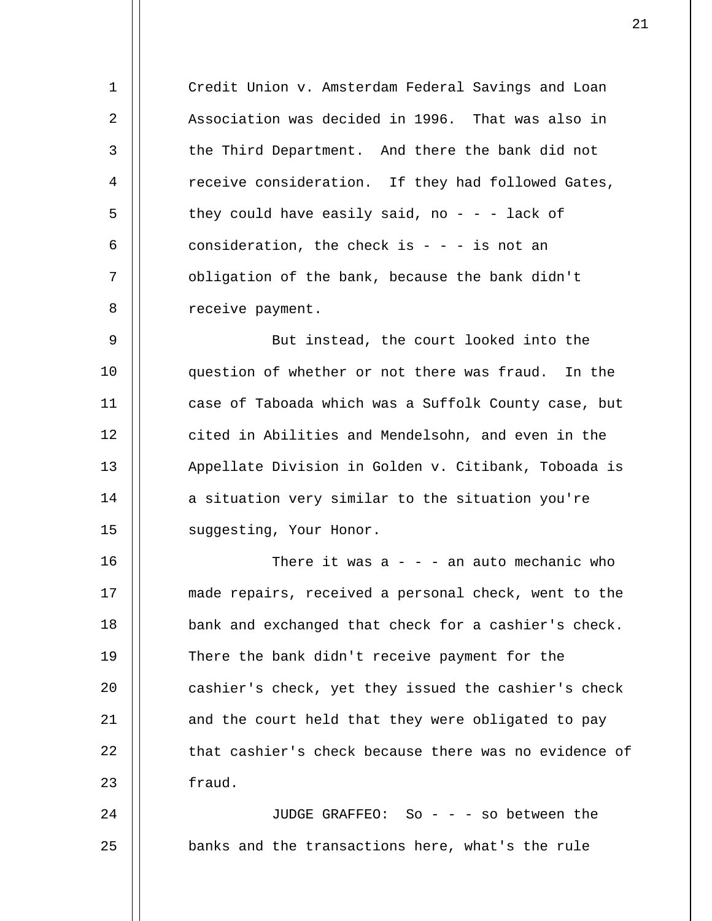Credit Union v. Amsterdam Federal Savings and Loan Association was decided in 1996. That was also in the Third Department. And there the bank did not receive consideration. If they had followed Gates, they could have easily said, no  $-$  lack of consideration, the check is  $- - i$  is not an obligation of the bank, because the bank didn't receive payment.

1

2

3

4

5

6

7

8

9 10 11 12 13 14 15 But instead, the court looked into the question of whether or not there was fraud. In the case of Taboada which was a Suffolk County case, but cited in Abilities and Mendelsohn, and even in the Appellate Division in Golden v. Citibank, Toboada is a situation very similar to the situation you're suggesting, Your Honor.

16 17 18 19  $20^{\circ}$ 21 22 23 There it was  $a - -$  - an auto mechanic who made repairs, received a personal check, went to the bank and exchanged that check for a cashier's check. There the bank didn't receive payment for the cashier's check, yet they issued the cashier's check and the court held that they were obligated to pay that cashier's check because there was no evidence of fraud.

24 25 JUDGE GRAFFEO: So - - - so between the banks and the transactions here, what's the rule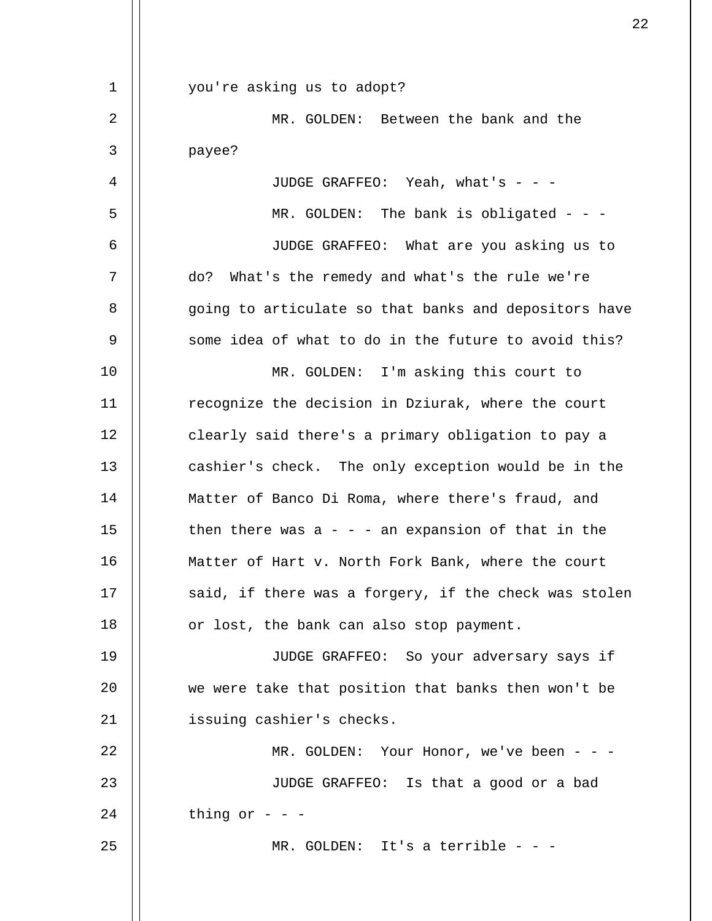| $\mathbf 1$ | you're asking us to adopt?                            |
|-------------|-------------------------------------------------------|
| 2           | MR. GOLDEN: Between the bank and the                  |
| 3           | payee?                                                |
| 4           | JUDGE GRAFFEO: Yeah, what's - - -                     |
| 5           | MR. GOLDEN: The bank is obligated - - -               |
| 6           | JUDGE GRAFFEO: What are you asking us to              |
| 7           | do? What's the remedy and what's the rule we're       |
| 8           | going to articulate so that banks and depositors have |
| 9           | some idea of what to do in the future to avoid this?  |
| 10          | MR. GOLDEN: I'm asking this court to                  |
| 11          | recognize the decision in Dziurak, where the court    |
| 12          | clearly said there's a primary obligation to pay a    |
| 13          | cashier's check. The only exception would be in the   |
| 14          | Matter of Banco Di Roma, where there's fraud, and     |
| 15          | then there was $a - - a$ n expansion of that in the   |
| 16          | Matter of Hart v. North Fork Bank, where the court    |
| 17          | said, if there was a forgery, if the check was stolen |
| 18          | or lost, the bank can also stop payment.              |
| 19          | JUDGE GRAFFEO: So your adversary says if              |
| 20          | we were take that position that banks then won't be   |
| 21          | issuing cashier's checks.                             |
| 22          | MR. GOLDEN: Your Honor, we've been - - -              |
| 23          | JUDGE GRAFFEO: Is that a good or a bad                |
| 24          | thing or $ -$                                         |
| 25          | MR. GOLDEN: It's a terrible - - -                     |
|             |                                                       |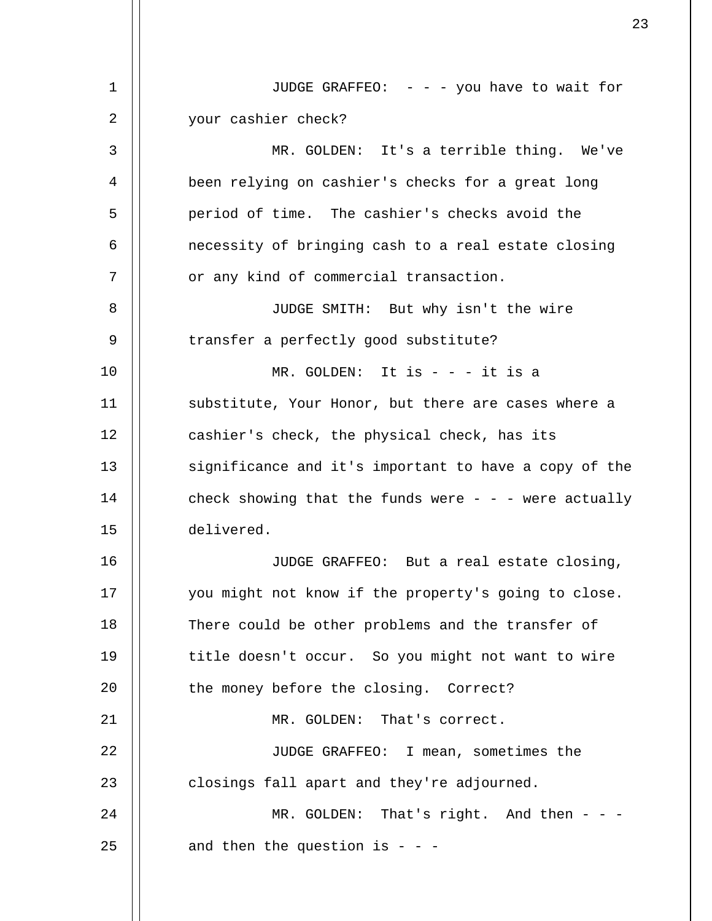| 1  | JUDGE GRAFFEO: $-$ - $-$ you have to wait for             |
|----|-----------------------------------------------------------|
| 2  | your cashier check?                                       |
| 3  | MR. GOLDEN: It's a terrible thing. We've                  |
| 4  | been relying on cashier's checks for a great long         |
| 5  | period of time. The cashier's checks avoid the            |
| 6  | necessity of bringing cash to a real estate closing       |
| 7  | or any kind of commercial transaction.                    |
| 8  | JUDGE SMITH: But why isn't the wire                       |
| 9  | transfer a perfectly good substitute?                     |
| 10 | MR. GOLDEN: It is $- - i$ t is a                          |
| 11 | substitute, Your Honor, but there are cases where a       |
| 12 | cashier's check, the physical check, has its              |
| 13 | significance and it's important to have a copy of the     |
| 14 | check showing that the funds were $-$ - $-$ were actually |
| 15 | delivered.                                                |
| 16 | JUDGE GRAFFEO: But a real estate closing,                 |
| 17 | you might not know if the property's going to close.      |
| 18 | There could be other problems and the transfer of         |
| 19 | title doesn't occur. So you might not want to wire        |
| 20 | the money before the closing. Correct?                    |
| 21 | MR. GOLDEN: That's correct.                               |
| 22 | JUDGE GRAFFEO: I mean, sometimes the                      |
| 23 | closings fall apart and they're adjourned.                |
| 24 | MR. GOLDEN: That's right. And then - -                    |
| 25 | and then the question is - - -                            |
|    |                                                           |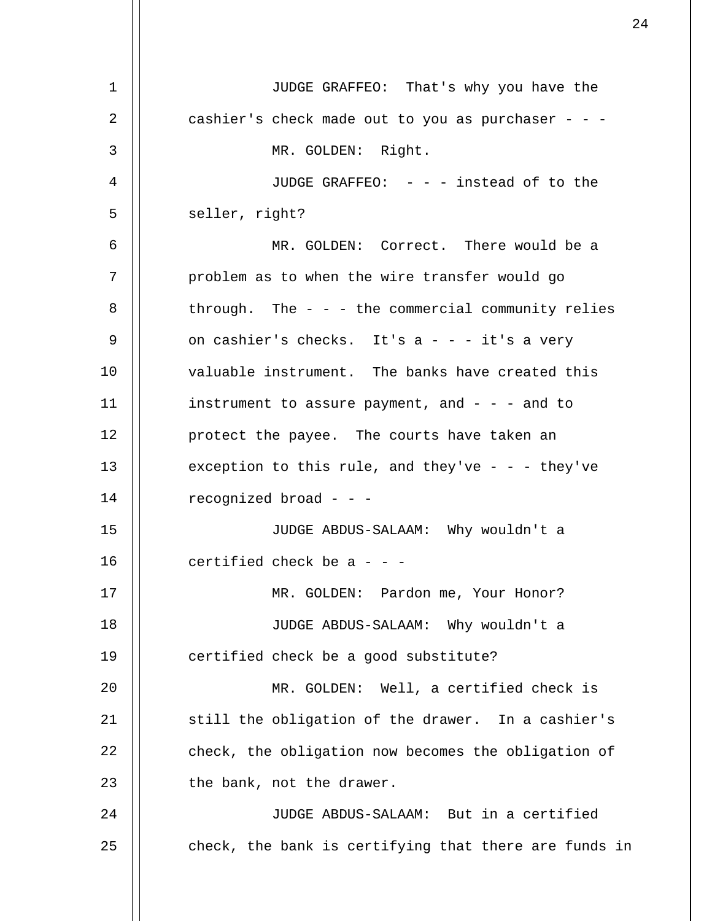| 1  | JUDGE GRAFFEO: That's why you have the                 |
|----|--------------------------------------------------------|
| 2  | cashier's check made out to you as purchaser - - -     |
| 3  | MR. GOLDEN: Right.                                     |
| 4  | JUDGE GRAFFEO: - - - instead of to the                 |
| 5  | seller, right?                                         |
| 6  | MR. GOLDEN: Correct. There would be a                  |
| 7  | problem as to when the wire transfer would go          |
| 8  | through. The $-$ - $-$ the commercial community relies |
| 9  | on cashier's checks. It's $a - - i$ t's a very         |
| 10 | valuable instrument. The banks have created this       |
| 11 | instrument to assure payment, and $-$ - $-$ and to     |
| 12 | protect the payee. The courts have taken an            |
| 13 | exception to this rule, and they've - - - they've      |
| 14 | recognized broad - - -                                 |
| 15 | JUDGE ABDUS-SALAAM: Why wouldn't a                     |
| 16 | certified check be $a - -$                             |
| 17 | MR. GOLDEN: Pardon me, Your Honor?                     |
| 18 | JUDGE ABDUS-SALAAM: Why wouldn't a                     |
| 19 | certified check be a good substitute?                  |
| 20 | MR. GOLDEN: Well, a certified check is                 |
| 21 | still the obligation of the drawer. In a cashier's     |
| 22 | check, the obligation now becomes the obligation of    |
| 23 | the bank, not the drawer.                              |
| 24 | JUDGE ABDUS-SALAAM: But in a certified                 |
| 25 | check, the bank is certifying that there are funds in  |
|    |                                                        |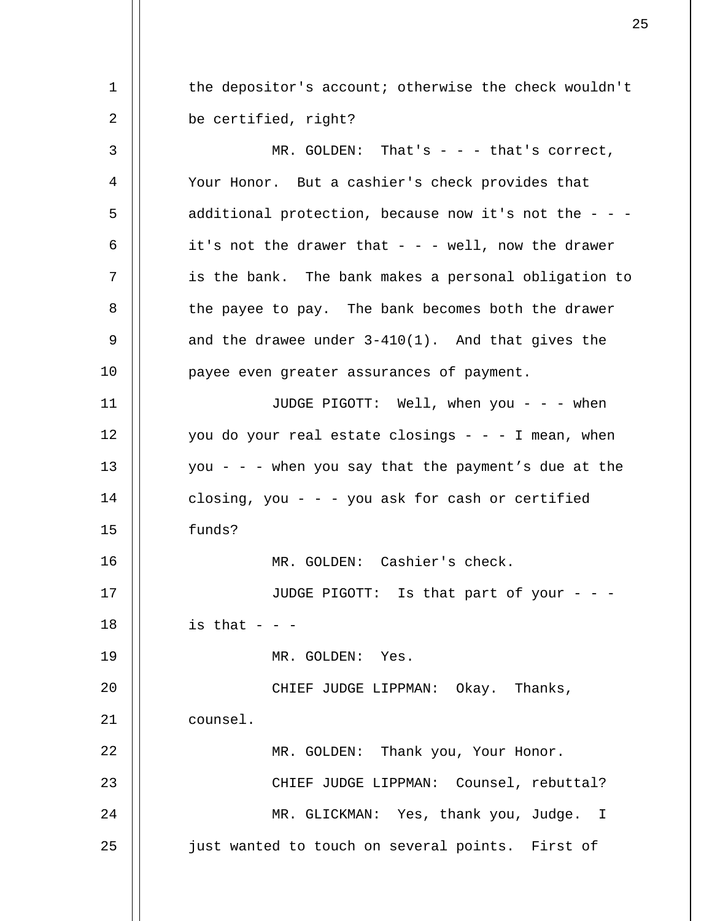1 2 3 4 5 6 7 8 9 10 11 12 13 14 15 16 17 18 19  $2.0$ 21 22 23 24 25 the depositor's account; otherwise the check wouldn't be certified, right? MR. GOLDEN: That's  $-$  -  $-$  that's correct, Your Honor. But a cashier's check provides that additional protection, because now it's not the - - it's not the drawer that  $- -$  well, now the drawer is the bank. The bank makes a personal obligation to the payee to pay. The bank becomes both the drawer and the drawee under 3-410(1). And that gives the payee even greater assurances of payment. JUDGE PIGOTT: Well, when you - - - when you do your real estate closings  $- - - 1$  mean, when you - - - when you say that the payment's due at the closing, you - - - you ask for cash or certified funds? MR. GOLDEN: Cashier's check. JUDGE PIGOTT: Is that part of your - - is that  $-$ MR. GOLDEN: Yes. CHIEF JUDGE LIPPMAN: Okay. Thanks, counsel. MR. GOLDEN: Thank you, Your Honor. CHIEF JUDGE LIPPMAN: Counsel, rebuttal? MR. GLICKMAN: Yes, thank you, Judge. I just wanted to touch on several points. First of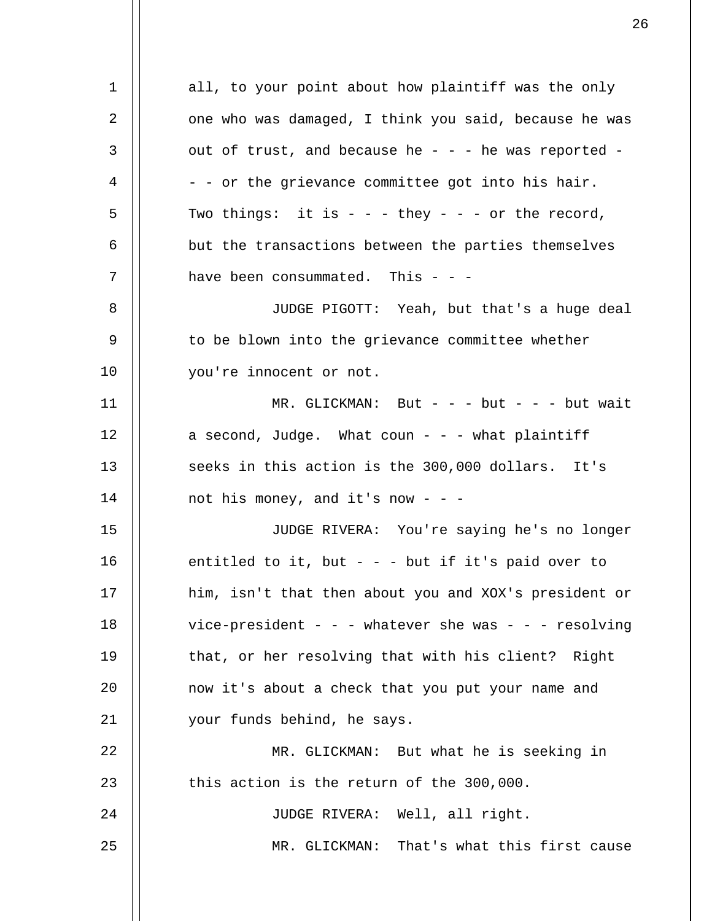1 2 3 4 5 6 7 8 9 10 11 12 13 14 15 16 17 18 19  $20^{\circ}$ 21 22 23 24 25 all, to your point about how plaintiff was the only one who was damaged, I think you said, because he was out of trust, and because he - - - he was reported -- - or the grievance committee got into his hair. Two things: it is  $- -$  - they  $- -$  - or the record, but the transactions between the parties themselves have been consummated. This  $- -$ JUDGE PIGOTT: Yeah, but that's a huge deal to be blown into the grievance committee whether you're innocent or not.  $MR. GLICKMAN: But - - - but - - - but wait$ a second, Judge. What coun  $-$  what plaintiff seeks in this action is the 300,000 dollars. It's not his money, and it's now - - -JUDGE RIVERA: You're saying he's no longer entitled to it, but  $-$  -  $-$  but if it's paid over to him, isn't that then about you and XOX's president or vice-president - - - whatever she was - - - resolving that, or her resolving that with his client? Right now it's about a check that you put your name and your funds behind, he says. MR. GLICKMAN: But what he is seeking in this action is the return of the 300,000. JUDGE RIVERA: Well, all right. MR. GLICKMAN: That's what this first cause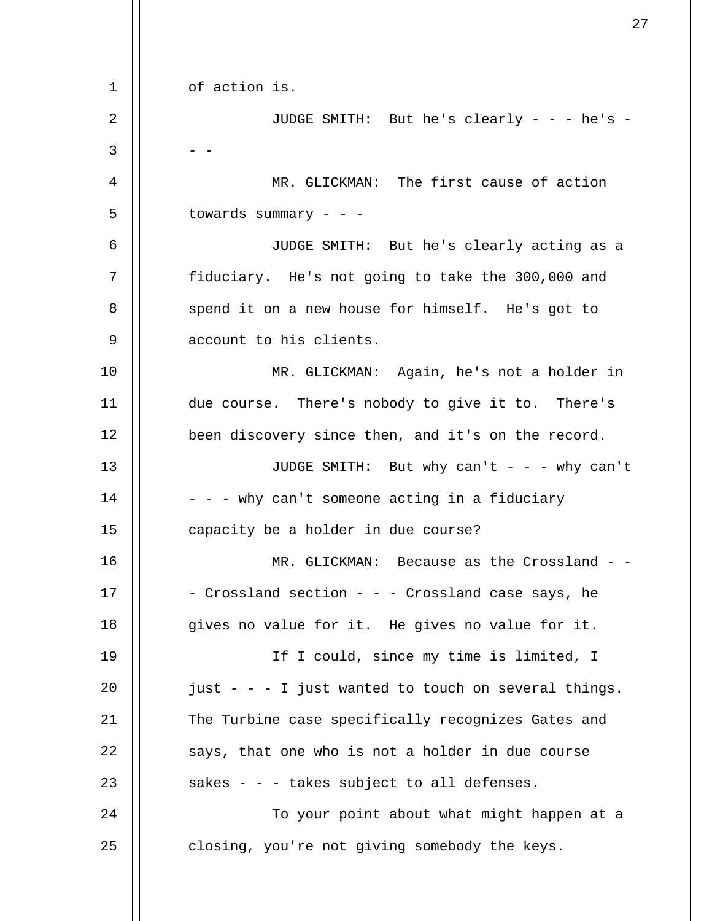1 2 3 4 5 6 7 8 9 10 11 12 13 14 15 16 17 18 19  $20^{\circ}$ 21 22 23 24 25 of action is. JUDGE SMITH: But he's clearly - - - he's -  $-$ MR. GLICKMAN: The first cause of action towards summary  $- -$ JUDGE SMITH: But he's clearly acting as a fiduciary. He's not going to take the 300,000 and spend it on a new house for himself. He's got to account to his clients. MR. GLICKMAN: Again, he's not a holder in due course. There's nobody to give it to. There's been discovery since then, and it's on the record. JUDGE SMITH: But why can't - - - why can't - - - why can't someone acting in a fiduciary capacity be a holder in due course? MR. GLICKMAN: Because as the Crossland - -- Crossland section - - - Crossland case says, he gives no value for it. He gives no value for it. If I could, since my time is limited, I just - - - I just wanted to touch on several things. The Turbine case specifically recognizes Gates and says, that one who is not a holder in due course sakes - - - takes subject to all defenses. To your point about what might happen at a closing, you're not giving somebody the keys.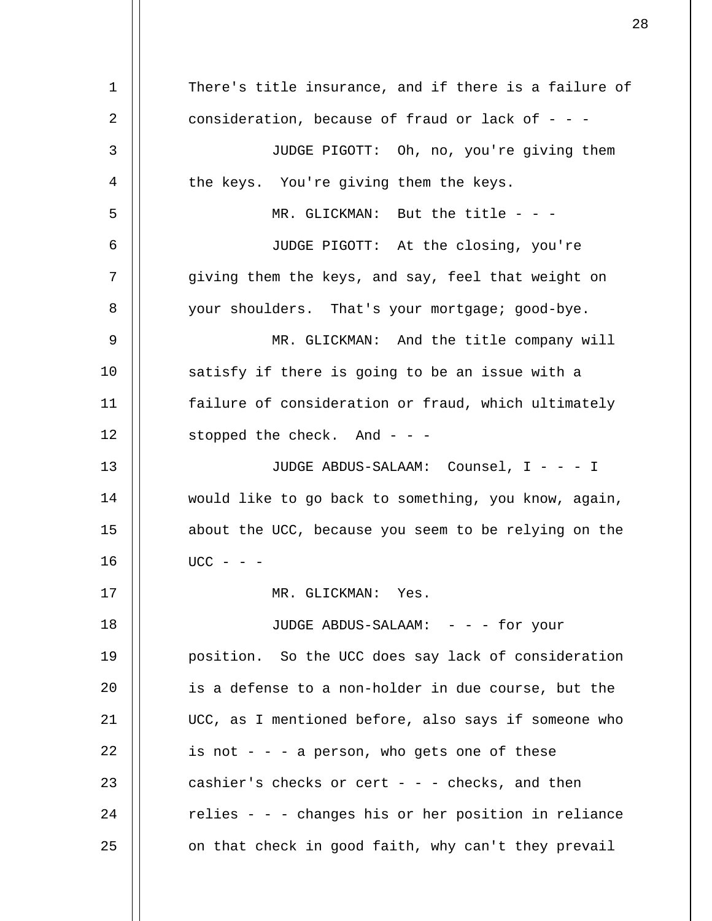1 2 3 4 5 6 7 8 9 10 11 12 13 14 15 16 17 18 19 20 21 22 23  $2.4$ 25 There's title insurance, and if there is a failure of consideration, because of fraud or lack of  $-$  -JUDGE PIGOTT: Oh, no, you're giving them the keys. You're giving them the keys. MR. GLICKMAN: But the title - - -JUDGE PIGOTT: At the closing, you're giving them the keys, and say, feel that weight on your shoulders. That's your mortgage; good-bye. MR. GLICKMAN: And the title company will satisfy if there is going to be an issue with a failure of consideration or fraud, which ultimately stopped the check. And - - - JUDGE ABDUS-SALAAM: Counsel, I - - - I would like to go back to something, you know, again, about the UCC, because you seem to be relying on the  $UCC - - -$ MR. GLICKMAN: Yes. JUDGE ABDUS-SALAAM: - - - for your position. So the UCC does say lack of consideration is a defense to a non-holder in due course, but the UCC, as I mentioned before, also says if someone who is not  $-$  -  $-$  a person, who gets one of these cashier's checks or cert - - - checks, and then relies - - - changes his or her position in reliance on that check in good faith, why can't they prevail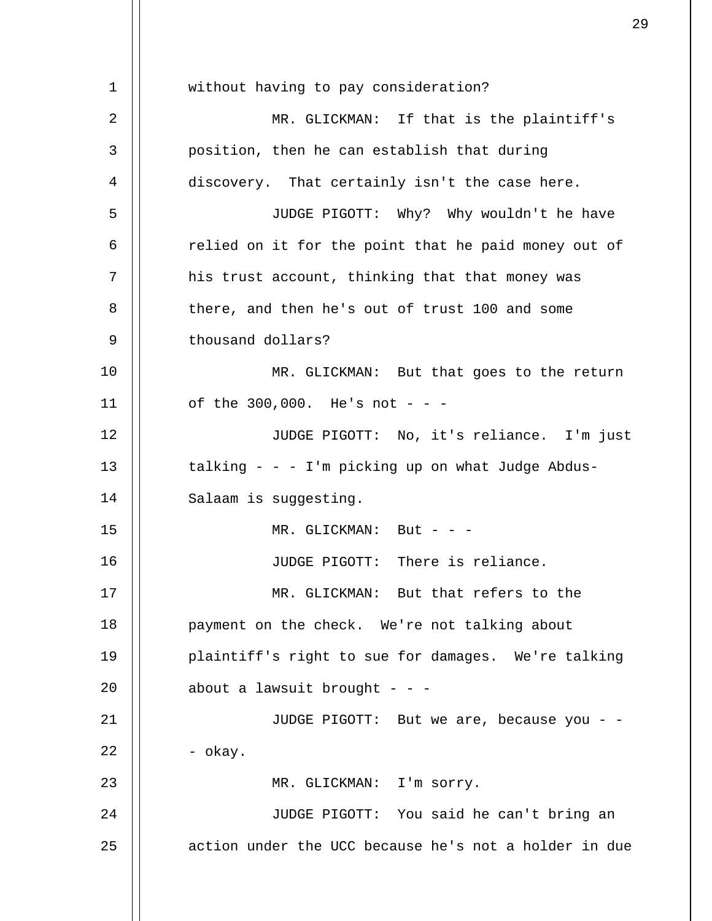1 2 3 4 5 6 7 8 9 10 11 12 13 14 15 16 17 18 19  $20^{\circ}$ 21 22 23 24 25 without having to pay consideration? MR. GLICKMAN: If that is the plaintiff's position, then he can establish that during discovery. That certainly isn't the case here. JUDGE PIGOTT: Why? Why wouldn't he have relied on it for the point that he paid money out of his trust account, thinking that that money was there, and then he's out of trust 100 and some thousand dollars? MR. GLICKMAN: But that goes to the return of the  $300,000$ . He's not - - -JUDGE PIGOTT: No, it's reliance. I'm just talking  $- - 1$ 'm picking up on what Judge Abdus-Salaam is suggesting.  $MR.$  GLICKMAN: But - - -JUDGE PIGOTT: There is reliance. MR. GLICKMAN: But that refers to the payment on the check. We're not talking about plaintiff's right to sue for damages. We're talking about a lawsuit brought  $- -$ JUDGE PIGOTT: But we are, because you - - - okay. MR. GLICKMAN: I'm sorry. JUDGE PIGOTT: You said he can't bring an action under the UCC because he's not a holder in due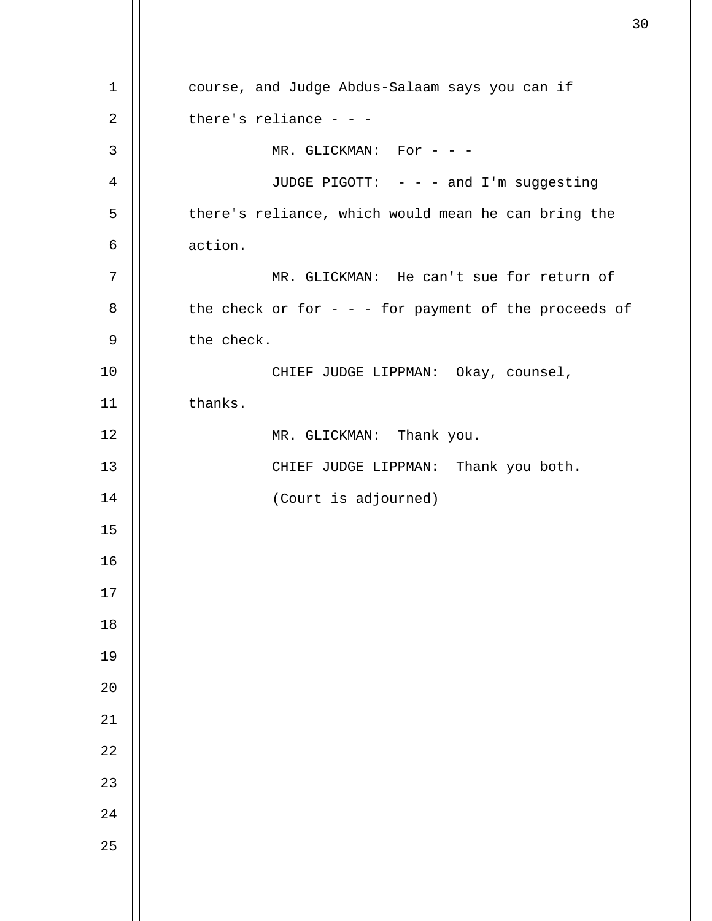course, and Judge Abdus-Salaam says you can if there's reliance  $- -$ MR. GLICKMAN: For - - -JUDGE PIGOTT: - - - and I'm suggesting there's reliance, which would mean he can bring the action. MR. GLICKMAN: He can't sue for return of the check or for - - - for payment of the proceeds of the check. CHIEF JUDGE LIPPMAN: Okay, counsel, thanks. MR. GLICKMAN: Thank you. CHIEF JUDGE LIPPMAN: Thank you both. (Court is adjourned)